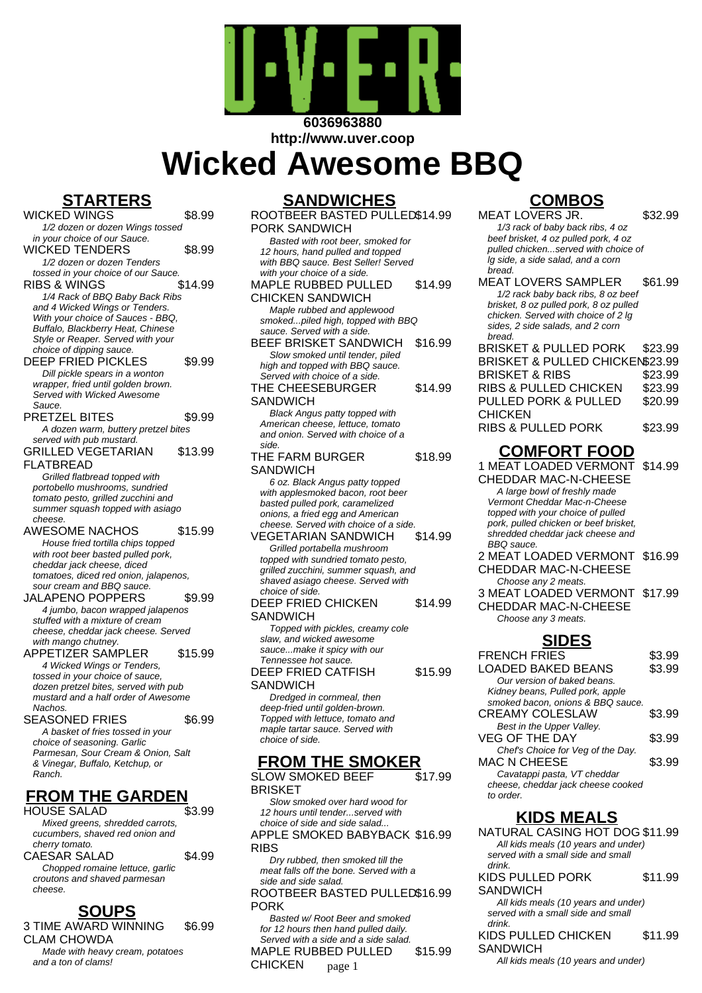

**http://www.uver.coop**

# **Wicked Awesome BBQ**

# **STARTERS**

WICKED WINGS \$8.99 1/2 dozen or dozen Wings tossed in your choice of our Sauce. WICKED TENDERS \$8.99 1/2 dozen or dozen Tenders tossed in your choice of our Sauce RIBS & WINGS \$14.99 1/4 Rack of BBQ Baby Back Ribs and 4 Wicked Wings or Tenders. With your choice of Sauces - BBQ. Buffalo, Blackberry Heat, Chinese Style or Reaper. Served with your choice of dipping sauce. DEEP FRIED PICKLES \$9.99 Dill pickle spears in a wonton wrapper, fried until golden brown. Served with Wicked Awesome Sauce. PRETZEL BITES \$9.99 A dozen warm, buttery pretzel bites served with pub mustard. GRILLED VEGETARIAN FLATBREAD \$13.99 Grilled flatbread topped with portobello mushrooms, sundried tomato pesto, grilled zucchini and summer squash topped with asiago cheese. AWESOME NACHOS \$15.99 House fried tortilla chips topped with root beer basted pulled pork, cheddar jack cheese, diced tomatoes, diced red onion, jalapenos, sour cream and BBQ sauce. JALAPENO POPPERS \$9.99 4 jumbo, bacon wrapped jalapenos stuffed with a mixture of cream cheese, cheddar jack cheese. Served with mango chutney APPETIZER SAMPLER \$15.99 4 Wicked Wings or Tenders, tossed in your choice of sauce, dozen pretzel bites, served with pub mustard and a half order of Awesome **Nachos** SEASONED FRIES \$6.99 A basket of fries tossed in your choice of seasoning. Garlic Parmesan, Sour Cream & Onion, Salt & Vinegar, Buffalo, Ketchup, or Ranch. **FROM THE GARDEN** HOUSE SALAD \$3.99 Mixed greens, shredded carrots, cucumbers, shaved red onion and cherry tomato. CAESAR SALAD \$4.99 Chopped romaine lettuce, garlic

croutons and shaved parmesan cheese.

#### **SOUPS**

3 TIME AWARD WINNING CLAM CHOWDA \$6.99

Made with heavy cream, potatoes and a ton of clams!

#### **SANDWICHES**

| <b>;ANDWICHES</b>                                                    |         |
|----------------------------------------------------------------------|---------|
| ROOTBEER BASTED PULLED\$14.99                                        |         |
| PORK SANDWICH                                                        |         |
| Basted with root beer, smoked for                                    |         |
| 12 hours, hand pulled and topped                                     |         |
| with BBQ sauce. Best Seller! Served                                  |         |
| with your choice of a side.                                          |         |
| <b>MAPLE RUBBED PULLED</b>                                           | \$14.99 |
| <b>CHICKEN SANDWICH</b>                                              |         |
| Maple rubbed and applewood                                           |         |
| smokedpiled high, topped with BBQ<br>sauce. Served with a side.      |         |
| BEEF BRISKET SANDWICH                                                | \$16.99 |
| Slow smoked until tender, piled                                      |         |
| high and topped with BBQ sauce.                                      |         |
| Served with choice of a side.                                        |         |
| THE CHEESEBURGER                                                     | \$14.99 |
| SANDWICH                                                             |         |
| <b>Black Angus patty topped with</b>                                 |         |
| American cheese, lettuce, tomato                                     |         |
| and onion. Served with choice of a                                   |         |
| side.                                                                |         |
| THE FARM BURGER                                                      | \$18.99 |
| SANDWICH                                                             |         |
| 6 oz. Black Angus patty topped                                       |         |
| with applesmoked bacon, root beer<br>basted pulled pork, caramelized |         |
| onions, a fried egg and American                                     |         |
| cheese. Served with choice of a side.                                |         |
| VEGETARIAN SANDWICH                                                  | \$14.99 |
| Grilled portabella mushroom                                          |         |
| topped with sundried tomato pesto,                                   |         |
| grilled zucchini, summer squash, and                                 |         |
| shaved asiago cheese. Served with                                    |         |
| choice of side.<br>DEEP FRIED CHICKEN                                | \$14.99 |
|                                                                      |         |
| SANDWICH                                                             |         |
| Topped with pickles, creamy cole<br>slaw, and wicked awesome         |         |
| saucemake it spicy with our                                          |         |
| Tennessee hot sauce.                                                 |         |
| DEEP FRIED CATFISH                                                   | \$15.99 |
| SANDWICH                                                             |         |
| Dredged in cornmeal, then                                            |         |
| deep-fried until golden-brown.                                       |         |
| Topped with lettuce, tomato and                                      |         |
| maple tartar sauce. Served with                                      |         |
| choice of side.                                                      |         |
| ЕРОМ ТЦЕ<br>CMOKED                                                   |         |
|                                                                      |         |

**FROM THE SMOKER** SLOW SMOKED BEEF BRISKET \$17.99

Slow smoked over hard wood for 12 hours until tender...served with choice of side and side salad... APPLE SMOKED BABYBACK \$16.99 **RIBS** 

Dry rubbed, then smoked till the meat falls off the bone. Served with a side and side salad.

#### ROOTBEER BASTED PULLED \$16.99 PORK

Basted w/ Root Beer and smoked for 12 hours then hand pulled daily. Served with a side and a side salad. MAPLE RUBBED PULLED CHICKEN \$15.99 All kids meals (10 years and under) page 1

# **COMBOS**

MEAT LOVERS JR. \$32.99

1/3 rack of baby back ribs, 4 oz beef brisket, 4 oz pulled pork, 4 oz pulled chicken...served with choice of lg side, a side salad, and a corn bread. MEAT LOVERS SAMPLER \$61.99 1/2 rack baby back ribs, 8 oz beef brisket, 8 oz pulled pork, 8 oz pulled chicken. Served with choice of 2 lg sides, 2 side salads, and 2 corn bread. BRISKET & PULLED PORK \$23.99 BRISKET & PULLED CHICKEN\$23.99 BRISKET & RIBS \$23.99 RIBS & PULLED CHICKEN \$23.99 PULLED PORK & PULLED **CHICKEN** \$20.99 RIBS & PULLED PORK \$23.99

# **COMFORT FOOD**

1 MEAT LOADED VERMONT CHEDDAR MAC-N-CHEESE \$14.99 A large bowl of freshly made Vermont Cheddar Mac-n-Cheese topped with your choice of pulled pork, pulled chicken or beef brisket, shredded cheddar jack cheese and BBQ sauce. 2 MEAT LOADED VERMONT \$16.99 CHEDDAR MAC-N-CHEESE Choose any 2 meats. 3 MEAT LOADED VERMONT \$17.99 CHEDDAR MAC-N-CHEESE

Choose any 3 meats.

**SIDES** FRENCH FRIES \$3.99 LOADED BAKED BEANS \$3.99 Our version of baked beans. Kidney beans, Pulled pork, apple smoked bacon, onions & BBQ sauce. CREAMY COLESLAW \$3.99 Best in the Upper Valley. VEG OF THE DAY \$3.99 Chef's Choice for Veg of the Day. MAC N CHEESE \$3.99 Cavatappi pasta, VT cheddar cheese, cheddar jack cheese cooked to order.

# **KIDS MEALS**

NATURAL CASING HOT DOG \$11.99 All kids meals (10 years and under) served with a small side and small drink.

KIDS PULLED PORK \$11.99

**SANDWICH** 

All kids meals (10 years and under) served with a small side and small drink.

KIDS PULLED CHICKEN \$11.99

**SANDWICH**